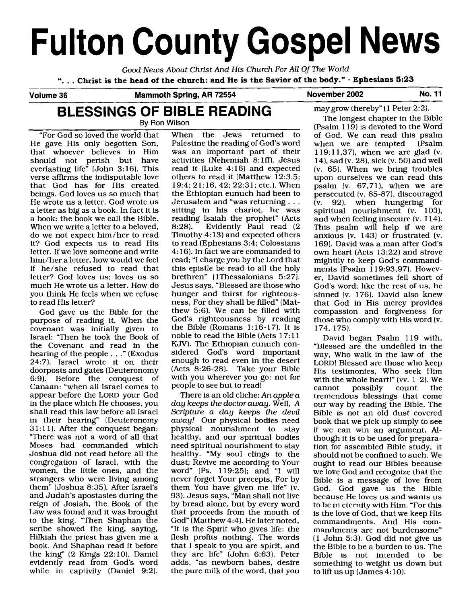# **Fulton County Gospel News**

Good News About Christ And His Church For All Of The World

". . . **Christ is the head of the church: and He is the Savior of the body."** - **Ephesians 5:23** 

# Volume 36 Mammoth Spring, AR 72554 November 2002 No. 11

# **BLESSINGS OF BIBLE READING**  By Ron Wilson

"For God so loved the world that When the Jews returned to He gave His only begotten Son, Palestine the reading of God's word He gave His only begotten Son, Palestine the reading of God's word<br>that whoever believes in Him was an important part of their verse affirms the indisputable love others to read it (Matthew  $\overline{12:3,5}$ ; that God has for His created 19:4: 21:16, 42: 22:31; etc.). When that God has for His created  $19:4$ ;  $21:16$ ,  $42$ ;  $22:31$ ; etc.). When beings. God loves us so much that the Ethiopian eunuch had been to beings. God loves us so much that<br>He wrote us a letter. God wrote us He wrote us a letter. God wrote us Jerusalem and "was returning . . . a letter as big as a book. In fact it is sitting in his chariot, he was a book: the book we call the Bible. reading Isaiah the prophet" (Acts When we write a letter to a beloved,<br>do we not expect him/her to read do we not expect him/her to read Timothy 4:13) and expected others<br>it? God expects us to read His to read (Ephesians 3:4: Colossians it? God expects us to read His to read (Ephesians 3:4; Colossians letter. If we love someone and write  $4:16$ ). In fact we are commanded to him/her a letter, how would we feel  $\frac{1}{2}$  read: "I charge you by the Lord that him/her a letter, how would we feel read; "I charge you by the Lord that<br>if he/she refused to read that this epistle be read to all the holy if he/she refused to read that this epistle be read to all the holy letter? God loves us: loves us so brethren" (1Thessalonians 5:27). much He wrote us a letter. How do<br>you think He feels when we refuse you think He feels when we refuse hunger and thirst for righteous-<br>to read His letter? exact here is ness. For they shall be filled" (Mat-

purpose of reading it. When the covenant was initially given to Israel: "Then he took the Book of noble to read the Bible (Acts 17:11 the  $\sim$  Covenant and read in the KJV). The Ethiopian eunuch conthe Covenant and read in the KJV). The Ethiopian eunuch con-<br>hearing of the people r (Exodus sidered God's word important hearing of the people . . ." (Exodus sidered God's word important 24:7). Israel wrote it on their enough to read even in the desert doorposts and gates (Deuteronomy (Acts 8:26-28). Take your Bible doorposts and gates (Deuteronomy (Acts 8:26-28). Take your Bible<br>6:9). Before the conquest of with you wherever you go: not for 6:9). Before the conquest of with you wherever you got formulate  $\frac{1}{2}$ . Canaan: "when all Israel comes to people to see but to read!<br>appear before the LORD your God There is an old cliche: An apple a appear before the LORD your God<br>in the place which He chooses, you shall read this law before all Israel<br>in their hearing" (Deuteronomy in their hearing" (Deuteronomy  $away!$  Our physical bodies need  $31:11$ ). After the conquest began: physical nourishment to stav 31:11). After the conquest began: physical nourishment to stay<br>"There was not a word of all that bealthy, and our spiritual bodies "There was not a word of all that healthy, and our spiritual bodies Moses had commanded which need spiritual nourishment to stay Joshua did not read before all the healthy. "My soul clings to the congregation of Israel, with the dust; Revive me according to Your women, the little ones, and the word" (Ps. 119:25); and "I will strangers who were living among never forget Your precepts, For by strangers who were living among never forget Your precepts, For by them" (Joshua 8:35). After Israel's them You have given me life" (v. them" (Joshua 8:35). After Israel's them You have given me life" (v. and Judah's apostasies during the 93). Jesus says, "Man shall not live reign of Josiah, the Book of the by bread alone, but by every word Law was found and it was brought that proceeds from the mouth of Law was found and it was brought<br>to the king. "Then Shaphan the to the king. "Then Shaphan the God" (Matthew 4:4). He later noted, scribe showed the king, saying, "It is the Spirit who gives life; the scribe showed the king, saying, "It is the Spirit who gives life; the Hilkiah the priest has given me a flesh profits nothing. The words Hilkiah the priest has given me a flesh profits nothing. The words book. And Shaphan read it before that I speak to you are spirit, and book. And Shaphan read it before that I speak to you are spirit, and the king" (2 Kings 22:10). Daniel they are life" (John 6:63). Peter evidently read from God's word adds, "as newborn babes, desire while in captivity (Daniel 9:2). the pure milk of the word, that you while in captivity (Daniel 9:2).

was an important part of their<br>activities (Nehemiah 8:1ff). Jesus should not perish but have activities (Nehemiah 8:lffl. Jesus everlasting life" (John 3:16). This read it (Luke 4:16) and expected reading Isaiah the prophet" (Acts 8:28). Evidently Paul read (2 brethren" (1Thessalonians 5:27).<br>Jesus says, "Blessed are those who ness, For they shall be filled" (Mat-God gave us the Bible for the thew 5:6). We can be filled with irrose of reading it. When the  $\frac{1}{2}$  God's righteousness by reading the Bible (Romans 1:16-17). It is<br>noble to read the Bible (Acts  $17:11$ 

> day keeps the doctor away. Well, A<br>Scripture a day keeps the devil they are life" (John 6:63). Peter<br>adds, "as newborn babes, desire

may grow thereby" (1 Peter 2:2).

The longest chapter in the Bible  $(Psalm 119)$  is devoted to the Word of God. We can read this psalm<br>when we are tempted (Psalm when we are tempted 1 19: 11,37), when we are glad (v. 14), sad (v. 28), sick (v. 50) and well (v. 65). When we bring troubles upon ourselves we can read this psalm (v. 67.71), when we are persecuted [v. 85-87], discouraged (v. 92), when hungering for spiritual nourishment (v. 103), and when feeling insecure (v. 1 14). This psalm will help if we are anxious (v. 143) or frustrated (v. 169). David was a man after God's own heart (Acts 13:22) and strove mightily to keep God's commandments (Psalm  $119:93,97$ ). However, David sometimes fell short of God's word; like the rest of us, he sinned (v. 176). David also knew that God in His mercy provides compassion and forgiveness for those who comply with His word [v. 174, 175).

David began Psalm 119 with, "Blessed are the undefiled in the way, Who walk in the law of the LORD! Blessed are those who keep His testimonies, Who seek Him with the whole heart!" (vv. 1-2). We<br>cannot possibly count the possibly tremendous blessings that come our way by reading the Bible. The Bible is not an old dust covered book that we pick up simply to see if we can win an argument. **AI**though it is to be used for preparation for assembled Bible study, it should not be confined to such. We ought to read our Bibles because we love God and recognize that the Bible is a message of love from God. God gave us the Bible because He loves us and wants us to be in eternity with Him. "For this is the love of God, that we keep His commandments. And His commandments are not burdensome"  $(1$  John 5:3). God did not give us the Bible to be a burden to us. The Bible is not intended to be something to weight us down but to lift us up (James 4: 10).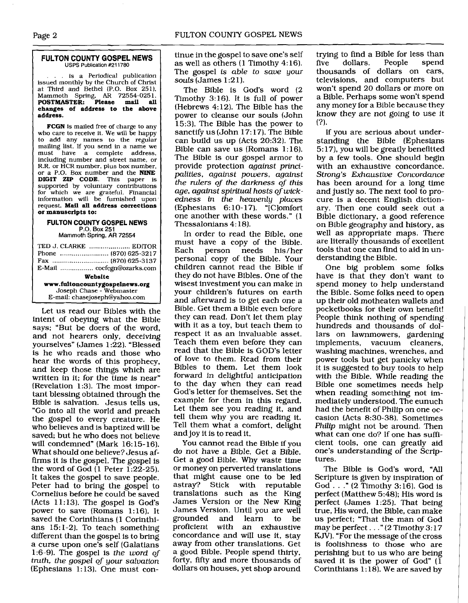#### **FULTON COUNTY GOSPEL NEWS**  USPS Publication **#211780**

is a Periodical publication issued monthly by the Church of Christ at Third and Bethel (P.O. Box 251). Mammoth Spring, **AR** 72554-025 1. **POSTMASTER: Please mail all changes of address to the above address.** 

FCGN is mailed free of charge to any who care to receive it. We will be happy to add any names to the regular mailing list. If you send in a name we<br>must have a complete address. have a complete address, including number and street name, or R.R. or HCR number, plus box number. or a P.O. Box number and the **NINE DIGIT ZIP CODE.** This paper is supported by voluntary contributions for which we are grateful. Financial information will be furnished upon request. **Mail all address corrections or manuscripts to:** 

#### **FULTON COUNTY GOSPEL NEWS P.O. Box 251**

Mammoth Spring, AR 72554

|                                | TED J. CLARKE  EDITOR        |
|--------------------------------|------------------------------|
|                                | Phone  (870) 625-3217        |
|                                |                              |
|                                | E-Mail  cocfcgn@ozarks.com [ |
| Website                        |                              |
| www.fultoncountygospelnews.org |                              |
| Joseph Chase - Webmaster       |                              |
| E-mail: chasejoseph@yahoo.com  |                              |

Let us read our Bibles with the intent of obeying what the Bible says; "But be doers of the word, and not hearers only, deceiving yourselves" (James 1:22). "Blessed is he who reads and those who hear the words of this prophecy, and keep those things which are written in it; for the time is near" (Revelation 1:3). The most important blessing obtained through the Bible is salvation. Jesus tells us, "Go into all the world and preach the gospel to every creature. He who believes and is baptized will be saved; but he who does not believe will condemned" (Mark 16: 15- 16). What should one believe? Jesus affirms it is the gospel. The gospel is the word of God  $(1$  Peter 1:22-25). It takes the gospel to save people. Peter had to bring the gospel to Cornelius before he could be saved (Acts 11:13). The gospel is God's power to save (Romans 1:16). It saved the Corinthians (1 Corinthians 15:l-2). To teach something different than the gospel is to bring a curse upon one's self (Galatians 1:6-9). The gospel is *the word of truth, the gospel of your salvation*   $E$ phesians 1:13). One must continue in the gospel to save one's self as well as others (1 Timothy 4: 16). The gospel is *able* to *save your souls* (James 1 :2 1 ).

The Bible is God's word (2 Timothy 3:16). It is full of power (Hebrews 4:12). The Bible has the power to cleanse our souls (John 15:3). The Bible has the power to sanctify us (John 17: 17). The Bible can build us up (Acts 20:32). The Bible can save us  $(Romans 1:16)$ . The Bible is our gospel armor to provide protection *against principalities, against powers, against the rulers of the darkness of this age, against spiritual hosts of wickedness in the heavenly places*  (Ephesians *6:* 10- 171. "IClomfort one another with these words." (1 Thessalonians 4: 18).

In order to read the Bible, one must have a copy of the Bible. needs his/her personal copy of the Bible. Your children cannot read the Bible if they do not have Bibles. One of the wisest investment you can make in your children's futures on earth and afterward is to get each one a Bible. Get them a Bible even before they can read. Don't let them play with it as a toy, but teach them to respect it as an invaluable asset. Teach them even before they can read that the Bible is GOD'S letter of love to them. Read from their Bibles to them. Let them look forward in delightful anticipation to the day when they can read God's letter for themselves. Set the example for them in this regard. Let them see you reading it, and tell them why you are reading it. Tell them what a comfort, delight and joy it is to read it.

You cannot read the Bible if you do not have a Bible. Get a Bible. Get a good Bible. Why waste time or money on perverted translations that might cause one to be led astray? Stick with reputable translations such as the King James Version or the New King James Version. Until you are well grounded and learn to be proficient with an exhaustive concordance and will use it, stay away from other translations. Get a good Bible. People spend thirty, forty, fifty and more thousands of dollars on houses, yet shop around

trying to find a Bible for less than<br>five dollars. People spend five dollars. thousands of dollars on cars, televisions, and computers but won't spend 20 dollars or more on a Bible. Perhaps some won't spend any money for a Bible because they know they are not going to use it  $(?)$ .

If you are serious about understanding the Bible (Ephesians 5:17), you will be greatly benefitted by a few tools. One should begin with an exhaustive concordance. *Strong's Exhaustive Concordance*  has been around for a long time and justly so. The next tool to procure is a decent English dictionary. Then one could seek out a Bible dictionary, a good reference on Bible geography and history, as well as appropriate maps. There are literally thousands of excellent tools that one can find to aid in understanding the Bible.

One big problem some folks have is that they don't want to spend money to help understand the Bible. Some folks need to open up their old motheaten wallets and pocketbooks for their own benefit! People think nothing of spending hundreds and thousands of dollars on lawnmowers, gardening implements, vacuum cleaners, washing machines, wrenches, and power tools but get panicky when it is suggested to buy tools to help with the Bible. While reading the Bible one sometimes needs help when reading something not immediately understood. The eunuch had the benefit of Philip on one occasion (Acts 8:30-38). Sometimes *Philip* might not be around. Then what can one do? If one has sufficient tools, one can greatly aid one's understanding of the Scriptures.

The Bible is God's word, "All Scripture is given by inspiration of God  $\ldots$ ." (2 Timothy 3:16). God is perfect (Matthew 5:48); His word is perfect (James 1:25). That being true, His word, the Bible, can make us perfect; "That the man of God may be perfect .. ." (2 Timothy 3: 17 KJV). "For the message of the cross is foolishness to those who are perishing but to us who are being saved it is the power of God" (1 Corinthians 1: 18). We are saved by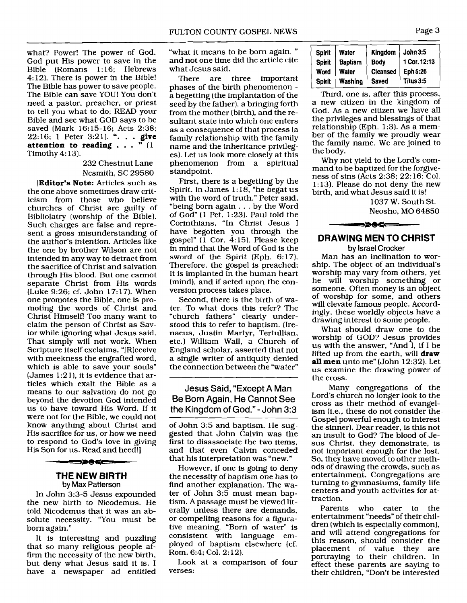what? Power! The power of God. God put His power to save in the Bible (Romans 1:16; Hebrews 4:12). There is power in the Bible! The Bible has power to save people. The Bible can save YOU! You don't need a pastor, preacher, or priest to tell you what to do; READ your Bible and see what GOD says to be saved (Mark 16:15-16; Acts 2:38; 22:16; 1 Peter 3:21). ". . . **give attention to reading** . . . " (1 Timothy 4: 13).

### 232 Chestnut Lane Nesmith, SC 29580

**[Editor's Note:** Articles such as the one above sometimes draw criticism from those who believe churches of Christ are guilty of Bibliolatry (worship of the Bible). Such charges are false and represent a gross misunderstanding of the author's intention. Articles like the one by brother Wilson are not intended in any way to detract from the sacrifice of Christ and salvation through His blood. But one cannot separate Christ from His words (Luke 9:26: cf. John 17: 17). When one promotes the Bible, one is promoting the words of Christ and Christ Himself! Too many want to claim the person of Christ as Savior while ignoring what Jesus said. That simply will not work. When Scripture itself exclaims, "IRleceive with meekness the engrafted word, which is able to save your souls"  $(James 1:21)$ , it is evidence that articles which exalt the Bible as a means to our salvation do not go beyond the devotion God intended us to have toward His Word. If it were not for the Bible, we could not know anything about Christ and His sacrifice for us, or how we need to respond to God's love in giving His Son for us. Read and heed!]

#### **THE NEW BIRTH by Max Patterson**

ーァのペニ

In John 3:3-5 Jesus expounded the new birth to Nicodemus. He told Nicodemus that it was an absolute necessity. "You must be born again."

It is interesting and puzzling that so many religious people affirm the necessity of the new birth, but deny what Jesus said it is. I have a newspaper ad entitled

"what it means to be born again, " and not one time did the article cite what Jesus said.

There are three important<br>phases of the birth phenomenon a begetting (the implantation of the seed by the father), a bringing forth from the mother (birth), and the resultant state into which one enters as a consequence of that process (a family relationship with the family name and the inheritance privileges). Let us look more closely at this phenomenon from a spiritual standpoint.

First, there is a begetting by the Spirit. In James 1: 18, "he begat us with the word of truth." Peter said, "being born again . . . by the Word of God" (1 Pet. 1 :23). Paul told the Corinthians, "In Christ Jesus I have begotten you through the gospel" ( $\overline{1}$  Cor. 4:15). Please keep in mind that the Word of God is the sword of the Spirit (Eph. 6:17). Therefore, the gospel is preached; it is implanted in the human heart (mind), and if acted upon the conversion process takes place.

Second, there is the birth of water. To what does this refer? The "church fathers" clearly understood this to refer to baptism. (Irenaeus, Justin Martyr, Tertullian, etc.) William Wall, a Church of England scholar, asserted that not a single writer of antiquity denied the connection between the "water"

Jesus Said, "Except A Man Be Born Again, He Cannot See the Kingdom of God." - John 3:3

of John 3:5 and baptism. He suggested that John Calvin was the first to disassociate the two items, and that even Calvin conceded that his interpretation was "new."

However, if one is going to deny the necessity of baptism one has to find another explanation. The water of John 3:5 must mean baptism. A passage must be viewed literally unless there are demands, or compelling reasons for a figurative meaning. "Born of water" is consistent with language employed of baptism elsewhere (cf. Rom. 6:4; Col. 2: 12).

Look at a comparison of four verses:

| <b>Spirit</b> | Water                   | Kingdom $\vert$ John 3:5 |                 |
|---------------|-------------------------|--------------------------|-----------------|
|               | Spirit   Baptism   Body |                          | $ 1$ Cor. 12:13 |
| Word          | Water                   | Cleansed   Eph 5:26      |                 |
|               | Spirit   Washing        | Saved                    | Titus 3:5       |

Third, one is, after this process, a new citizen in the kingdom of God. As a new citizen we have all the privileges and blessings of that relationship (Eph. 1:3). As a member of the family we proudly wear the family name. We are joined to the body.

Why not yield to the Lord's command to be baptized for the forgiveness of sins (Acts 2:38; 22: 16; Col. 1:13). Please do not deny the new birth, and what Jesus said it is!

> 1037 W. South St. Neosho, MO 64850

# **DRAWING MEN TO CHRIST**

#### **by Israel Crocker**

==>>0<=

Man has an inclination to worship. The object of an individual's worship may vary from others, yet he will worship something or someone. Often money is an object of worship for some, and others will elevate famous people. Accordingly, these worldly objects have a drawing interest to some people.

What should draw one to the worship of GOD? Jesus provides us with the answer, "And 1, if I be lifted up from the earth, will **draw**  all **men** unto me" (John 12:32). Let us examine the drawing power of the cross.

Many congregations of the Lord's church no longer look to the cross as their method of evangelism (i.e., these do not consider the Gospel powerful enough to interest the sinner). Dear reader, is this not an insult to God? The blood of Jesus Christ, they demonstrate, is not important enough for the lost. So, they have moved to other methods of drawing the crowds, such as entertainment. Congregations are turning to gymnasiums, family-life centers and youth activities for attraction.

Parents who cater to the entertainment "needs" of their children (which is especially common), and will attend congregations for this reason, should consider the placement of value they are portraying to their children. In effect these parents are saying to their children, "Don't be interested